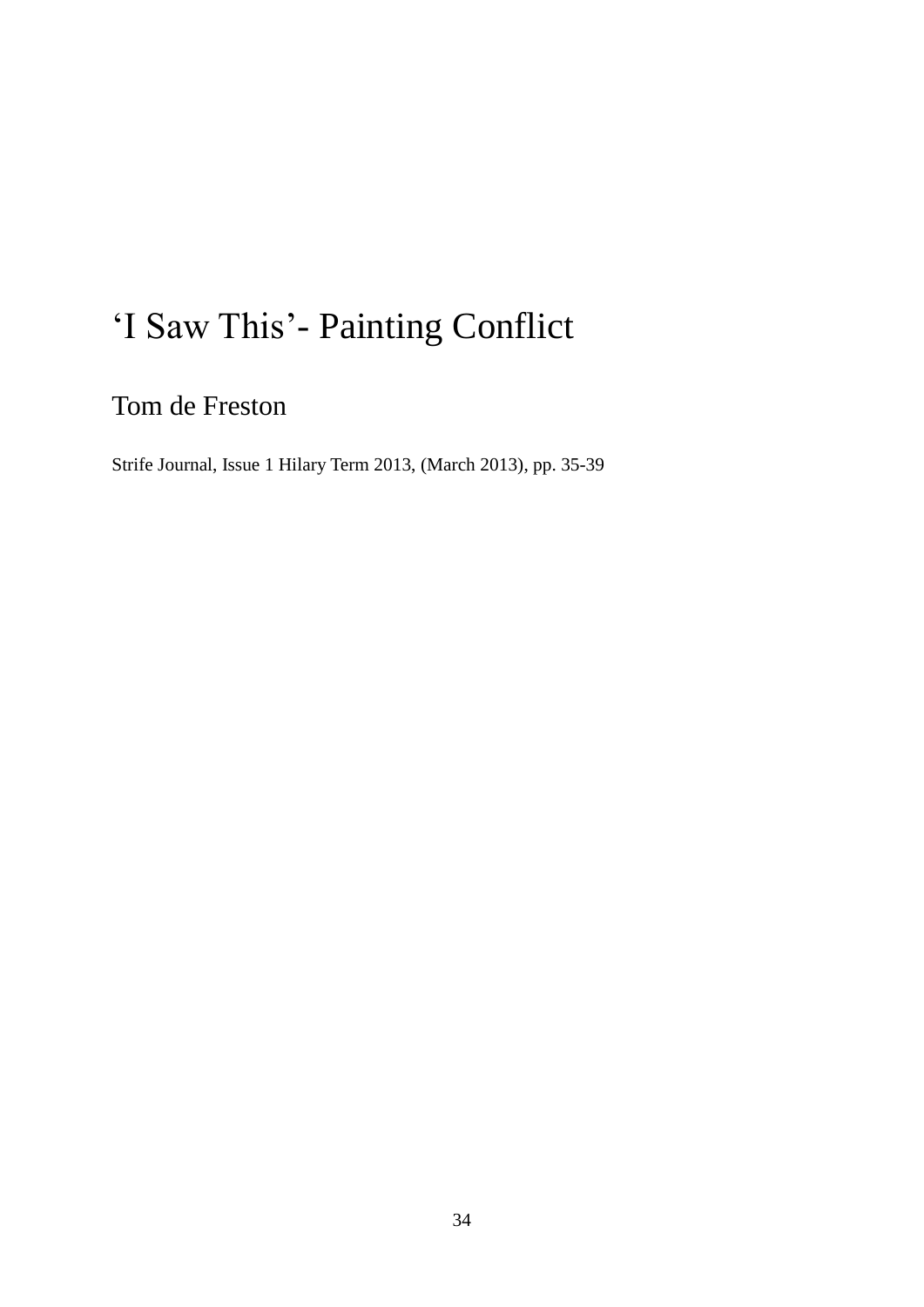## 'I Saw This'- Painting Conflict

Tom de Freston

Strife Journal, Issue 1 Hilary Term 2013, (March 2013), pp. 35-39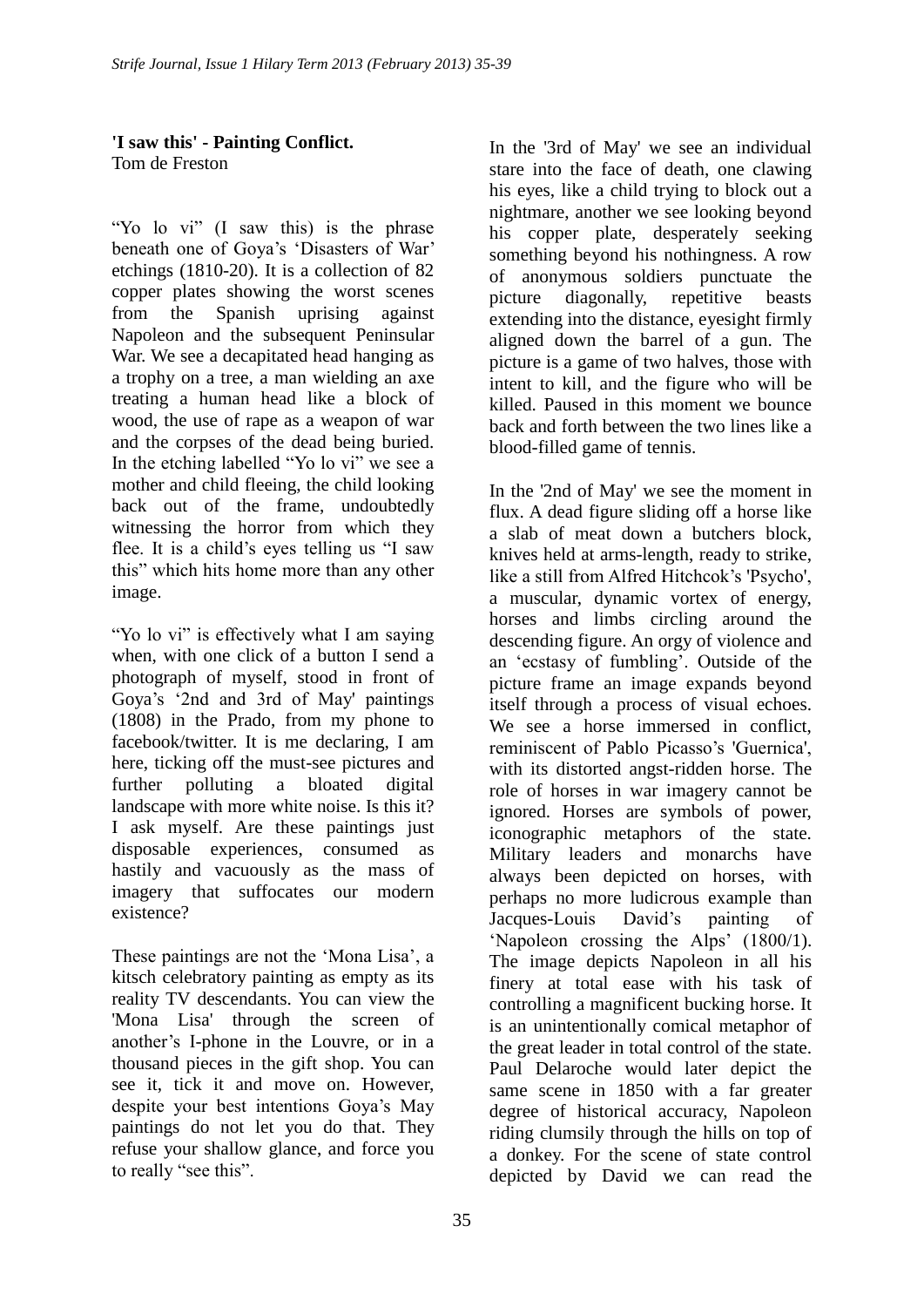## **'I saw this' - Painting Conflict.** Tom de Freston

"Yo lo vi" (I saw this) is the phrase beneath one of Goya's 'Disasters of War' etchings (1810-20). It is a collection of 82 copper plates showing the worst scenes from the Spanish uprising against Napoleon and the subsequent Peninsular War. We see a decapitated head hanging as a trophy on a tree, a man wielding an axe treating a human head like a block of wood, the use of rape as a weapon of war and the corpses of the dead being buried. In the etching labelled "Yo lo vi" we see a mother and child fleeing, the child looking back out of the frame, undoubtedly witnessing the horror from which they flee. It is a child"s eyes telling us "I saw this" which hits home more than any other image.

"Yo lo vi" is effectively what I am saying when, with one click of a button I send a photograph of myself, stood in front of Goya"s "2nd and 3rd of May' paintings (1808) in the Prado, from my phone to facebook/twitter. It is me declaring, I am here, ticking off the must-see pictures and further polluting a bloated digital landscape with more white noise. Is this it? I ask myself. Are these paintings just disposable experiences, consumed as hastily and vacuously as the mass of imagery that suffocates our modern existence?

These paintings are not the 'Mona Lisa', a kitsch celebratory painting as empty as its reality TV descendants. You can view the 'Mona Lisa' through the screen of another"s I-phone in the Louvre, or in a thousand pieces in the gift shop. You can see it, tick it and move on. However, despite your best intentions Goya"s May paintings do not let you do that. They refuse your shallow glance, and force you to really "see this".

In the '3rd of May' we see an individual stare into the face of death, one clawing his eyes, like a child trying to block out a nightmare, another we see looking beyond his copper plate, desperately seeking something beyond his nothingness. A row of anonymous soldiers punctuate the picture diagonally, repetitive beasts extending into the distance, eyesight firmly aligned down the barrel of a gun. The picture is a game of two halves, those with intent to kill, and the figure who will be killed. Paused in this moment we bounce back and forth between the two lines like a blood-filled game of tennis.

In the '2nd of May' we see the moment in flux. A dead figure sliding off a horse like a slab of meat down a butchers block, knives held at arms-length, ready to strike, like a still from Alfred Hitchcok's 'Psycho'. a muscular, dynamic vortex of energy, horses and limbs circling around the descending figure. An orgy of violence and an "ecstasy of fumbling". Outside of the picture frame an image expands beyond itself through a process of visual echoes. We see a horse immersed in conflict, reminiscent of Pablo Picasso's 'Guernica', with its distorted angst-ridden horse. The role of horses in war imagery cannot be ignored. Horses are symbols of power, iconographic metaphors of the state. Military leaders and monarchs have always been depicted on horses, with perhaps no more ludicrous example than Jacques-Louis David"s painting of 'Napoleon crossing the Alps' (1800/1). The image depicts Napoleon in all his finery at total ease with his task of controlling a magnificent bucking horse. It is an unintentionally comical metaphor of the great leader in total control of the state. Paul Delaroche would later depict the same scene in 1850 with a far greater degree of historical accuracy, Napoleon riding clumsily through the hills on top of a donkey. For the scene of state control depicted by David we can read the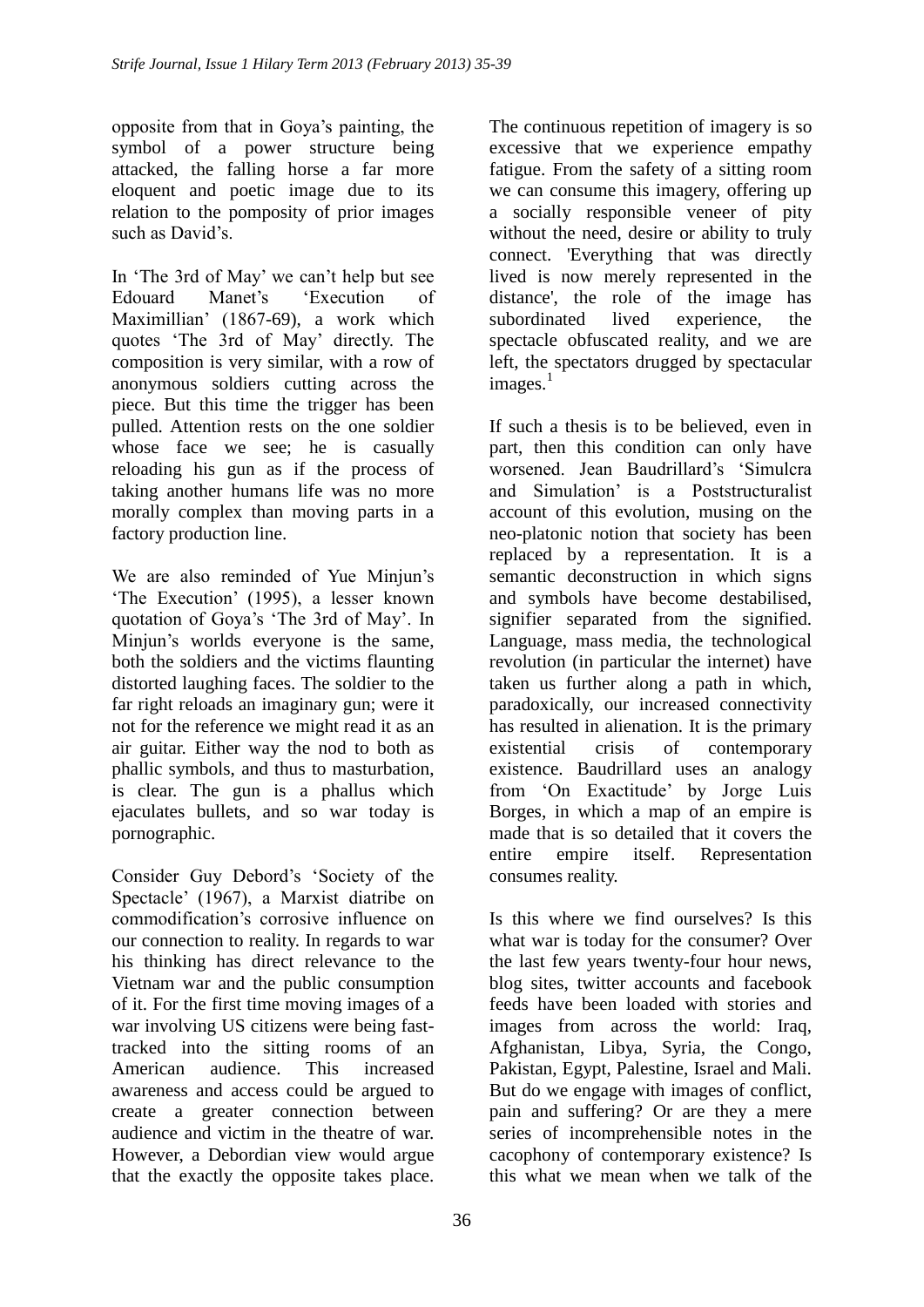opposite from that in Goya"s painting, the symbol of a power structure being attacked, the falling horse a far more eloquent and poetic image due to its relation to the pomposity of prior images such as David's

In "The 3rd of May" we can"t help but see Edouard Manet's 'Execution of Maximillian" (1867-69), a work which quotes "The 3rd of May" directly. The composition is very similar, with a row of anonymous soldiers cutting across the piece. But this time the trigger has been pulled. Attention rests on the one soldier whose face we see; he is casually reloading his gun as if the process of taking another humans life was no more morally complex than moving parts in a factory production line.

We are also reminded of Yue Minjun's The Execution' (1995), a lesser known quotation of Goya"s "The 3rd of May". In Miniun's worlds everyone is the same. both the soldiers and the victims flaunting distorted laughing faces. The soldier to the far right reloads an imaginary gun; were it not for the reference we might read it as an air guitar. Either way the nod to both as phallic symbols, and thus to masturbation, is clear. The gun is a phallus which ejaculates bullets, and so war today is pornographic.

Consider Guy Debord"s "Society of the Spectacle" (1967), a Marxist diatribe on commodification"s corrosive influence on our connection to reality. In regards to war his thinking has direct relevance to the Vietnam war and the public consumption of it. For the first time moving images of a war involving US citizens were being fasttracked into the sitting rooms of an American audience. This increased awareness and access could be argued to create a greater connection between audience and victim in the theatre of war. However, a Debordian view would argue that the exactly the opposite takes place.

The continuous repetition of imagery is so excessive that we experience empathy fatigue. From the safety of a sitting room we can consume this imagery, offering up a socially responsible veneer of pity without the need, desire or ability to truly connect. 'Everything that was directly lived is now merely represented in the distance', the role of the image has subordinated lived experience, the spectacle obfuscated reality, and we are left, the spectators drugged by spectacular  $images.<sup>1</sup>$ 

If such a thesis is to be believed, even in part, then this condition can only have worsened. Jean Baudrillard"s "Simulcra and Simulation" is a Poststructuralist account of this evolution, musing on the neo-platonic notion that society has been replaced by a representation. It is a semantic deconstruction in which signs and symbols have become destabilised, signifier separated from the signified. Language, mass media, the technological revolution (in particular the internet) have taken us further along a path in which, paradoxically, our increased connectivity has resulted in alienation. It is the primary existential crisis of contemporary existence. Baudrillard uses an analogy from "On Exactitude" by Jorge Luis Borges, in which a map of an empire is made that is so detailed that it covers the entire empire itself. Representation consumes reality.

Is this where we find ourselves? Is this what war is today for the consumer? Over the last few years twenty-four hour news, blog sites, twitter accounts and facebook feeds have been loaded with stories and images from across the world: Iraq, Afghanistan, Libya, Syria, the Congo, Pakistan, Egypt, Palestine, Israel and Mali. But do we engage with images of conflict, pain and suffering? Or are they a mere series of incomprehensible notes in the cacophony of contemporary existence? Is this what we mean when we talk of the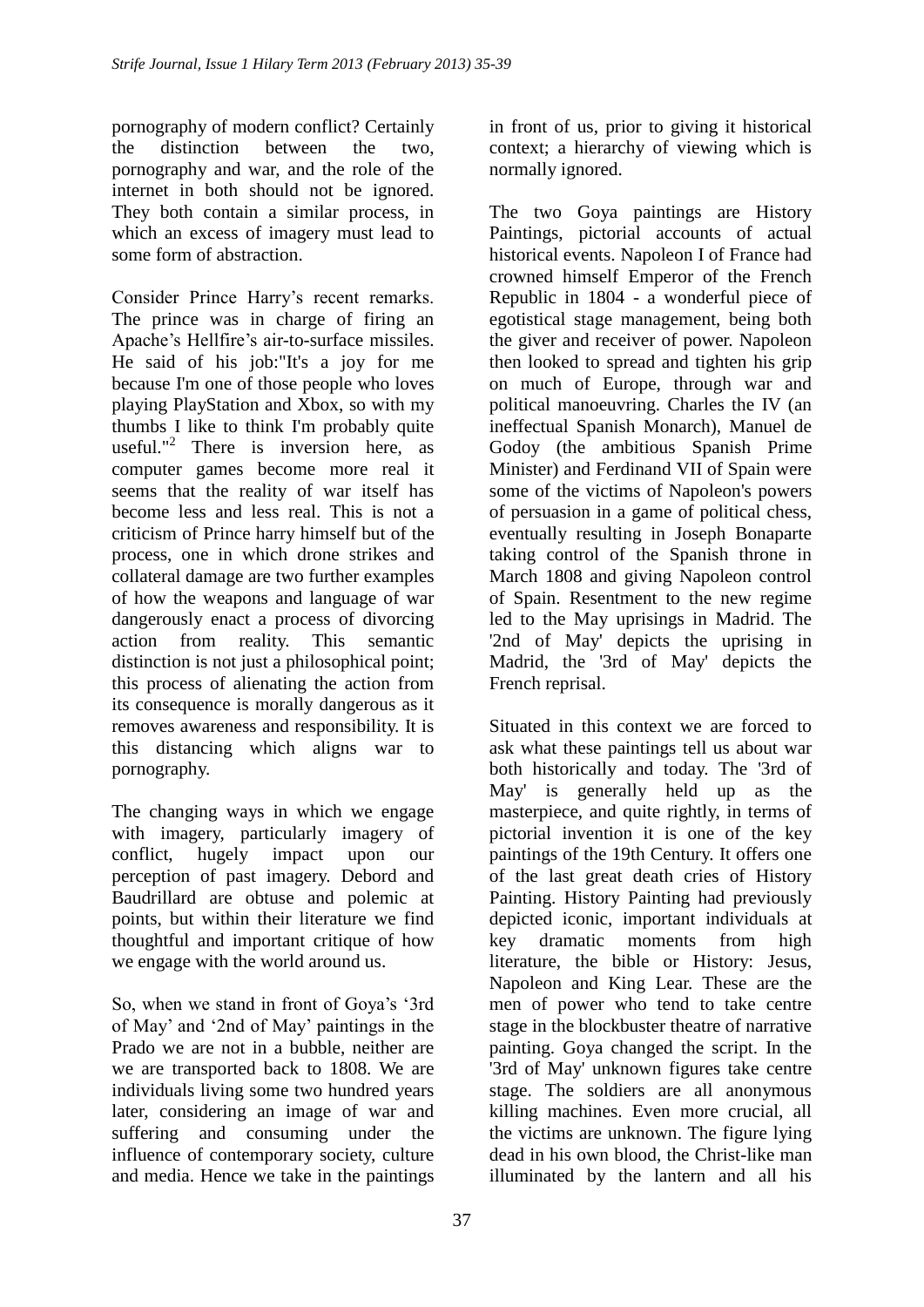pornography of modern conflict? Certainly the distinction between the two, pornography and war, and the role of the internet in both should not be ignored. They both contain a similar process, in which an excess of imagery must lead to some form of abstraction.

Consider Prince Harry"s recent remarks. The prince was in charge of firing an Apache"s Hellfire"s air-to-surface missiles. He said of his job:"It's a joy for me because I'm one of those people who loves playing PlayStation and Xbox, so with my thumbs I like to think I'm probably quite useful."<sup>2</sup> There is inversion here, as computer games become more real it seems that the reality of war itself has become less and less real. This is not a criticism of Prince harry himself but of the process, one in which drone strikes and collateral damage are two further examples of how the weapons and language of war dangerously enact a process of divorcing action from reality. This semantic distinction is not just a philosophical point; this process of alienating the action from its consequence is morally dangerous as it removes awareness and responsibility. It is this distancing which aligns war to pornography.

The changing ways in which we engage with imagery, particularly imagery of conflict, hugely impact upon our perception of past imagery. Debord and Baudrillard are obtuse and polemic at points, but within their literature we find thoughtful and important critique of how we engage with the world around us.

So, when we stand in front of Goya's '3rd of May" and "2nd of May" paintings in the Prado we are not in a bubble, neither are we are transported back to 1808. We are individuals living some two hundred years later, considering an image of war and suffering and consuming under the influence of contemporary society, culture and media. Hence we take in the paintings in front of us, prior to giving it historical context; a hierarchy of viewing which is normally ignored.

The two Goya paintings are History Paintings, pictorial accounts of actual historical events. Napoleon I of France had crowned himself Emperor of the French Republic in 1804 - a wonderful piece of egotistical stage management, being both the giver and receiver of power. Napoleon then looked to spread and tighten his grip on much of Europe, through war and political manoeuvring. Charles the IV (an ineffectual Spanish Monarch), Manuel de Godoy (the ambitious Spanish Prime Minister) and Ferdinand VII of Spain were some of the victims of Napoleon's powers of persuasion in a game of political chess, eventually resulting in Joseph Bonaparte taking control of the Spanish throne in March 1808 and giving Napoleon control of Spain. Resentment to the new regime led to the May uprisings in Madrid. The '2nd of May' depicts the uprising in Madrid, the '3rd of May' depicts the French reprisal.

Situated in this context we are forced to ask what these paintings tell us about war both historically and today. The '3rd of May' is generally held up as the masterpiece, and quite rightly, in terms of pictorial invention it is one of the key paintings of the 19th Century. It offers one of the last great death cries of History Painting. History Painting had previously depicted iconic, important individuals at key dramatic moments from high literature, the bible or History: Jesus, Napoleon and King Lear. These are the men of power who tend to take centre stage in the blockbuster theatre of narrative painting. Goya changed the script. In the '3rd of May' unknown figures take centre stage. The soldiers are all anonymous killing machines. Even more crucial, all the victims are unknown. The figure lying dead in his own blood, the Christ-like man illuminated by the lantern and all his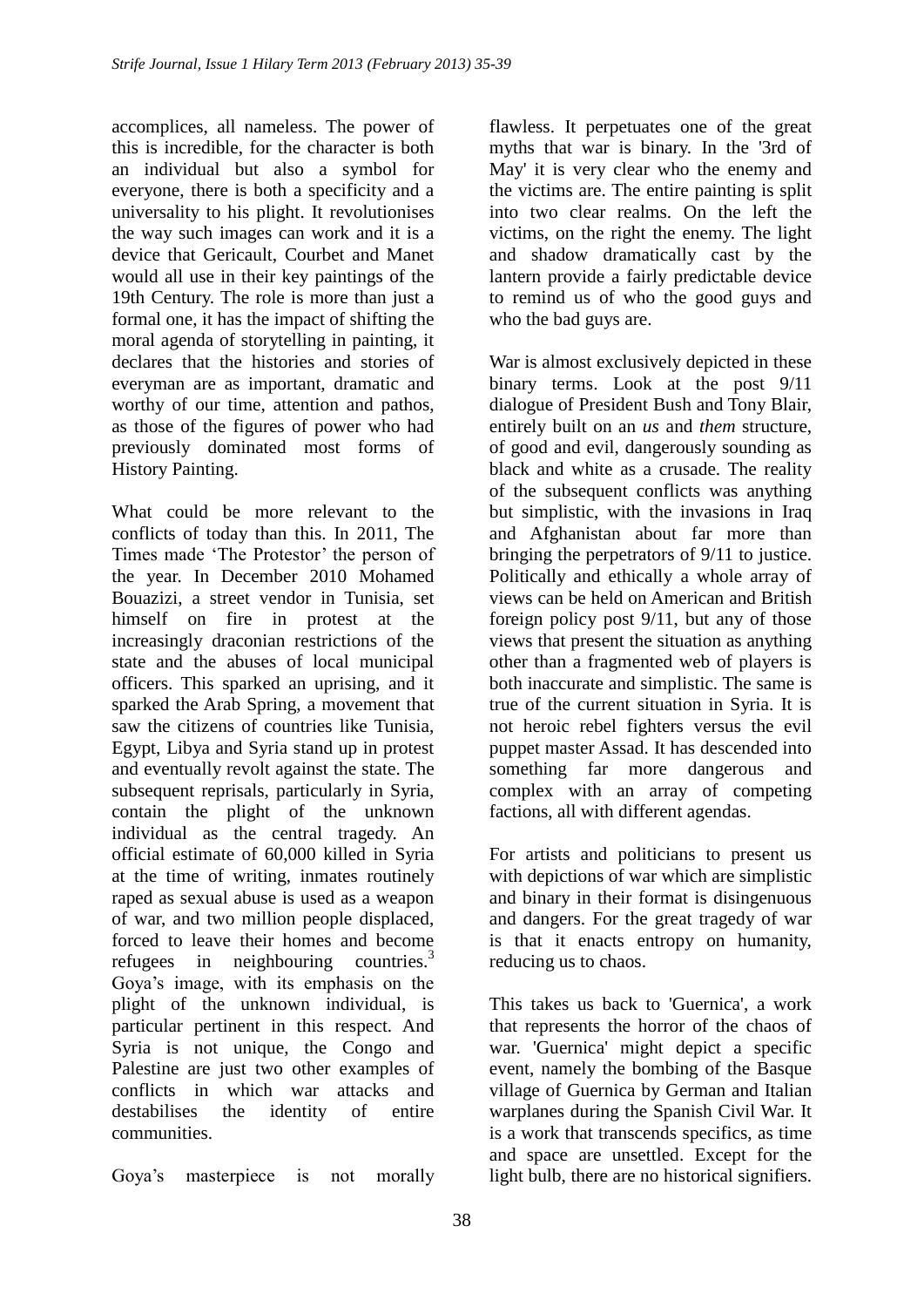accomplices, all nameless. The power of this is incredible, for the character is both an individual but also a symbol for everyone, there is both a specificity and a universality to his plight. It revolutionises the way such images can work and it is a device that Gericault, Courbet and Manet would all use in their key paintings of the 19th Century. The role is more than just a formal one, it has the impact of shifting the moral agenda of storytelling in painting, it declares that the histories and stories of everyman are as important, dramatic and worthy of our time, attention and pathos, as those of the figures of power who had previously dominated most forms of History Painting.

What could be more relevant to the conflicts of today than this. In 2011, The Times made 'The Protestor' the person of the year. In December 2010 Mohamed Bouazizi, a street vendor in Tunisia, set himself on fire in protest at the increasingly draconian restrictions of the state and the abuses of local municipal officers. This sparked an uprising, and it sparked the Arab Spring, a movement that saw the citizens of countries like Tunisia, Egypt, Libya and Syria stand up in protest and eventually revolt against the state. The subsequent reprisals, particularly in Syria, contain the plight of the unknown individual as the central tragedy. An official estimate of 60,000 killed in Syria at the time of writing, inmates routinely raped as sexual abuse is used as a weapon of war, and two million people displaced, forced to leave their homes and become refugees in neighbouring countries.<sup>3</sup> Goya"s image, with its emphasis on the plight of the unknown individual, is particular pertinent in this respect. And Syria is not unique, the Congo and Palestine are just two other examples of conflicts in which war attacks and destabilises the identity of entire communities.

Goya"s masterpiece is not morally

flawless. It perpetuates one of the great myths that war is binary. In the '3rd of May' it is very clear who the enemy and the victims are. The entire painting is split into two clear realms. On the left the victims, on the right the enemy. The light and shadow dramatically cast by the lantern provide a fairly predictable device to remind us of who the good guys and who the bad guys are.

War is almost exclusively depicted in these binary terms. Look at the post 9/11 dialogue of President Bush and Tony Blair, entirely built on an *us* and *them* structure, of good and evil, dangerously sounding as black and white as a crusade. The reality of the subsequent conflicts was anything but simplistic, with the invasions in Iraq and Afghanistan about far more than bringing the perpetrators of 9/11 to justice. Politically and ethically a whole array of views can be held on American and British foreign policy post 9/11, but any of those views that present the situation as anything other than a fragmented web of players is both inaccurate and simplistic. The same is true of the current situation in Syria. It is not heroic rebel fighters versus the evil puppet master Assad. It has descended into something far more dangerous and complex with an array of competing factions, all with different agendas.

For artists and politicians to present us with depictions of war which are simplistic and binary in their format is disingenuous and dangers. For the great tragedy of war is that it enacts entropy on humanity, reducing us to chaos.

This takes us back to 'Guernica', a work that represents the horror of the chaos of war. 'Guernica' might depict a specific event, namely the bombing of the Basque village of Guernica by German and Italian warplanes during the Spanish Civil War. It is a work that transcends specifics, as time and space are unsettled. Except for the light bulb, there are no historical signifiers.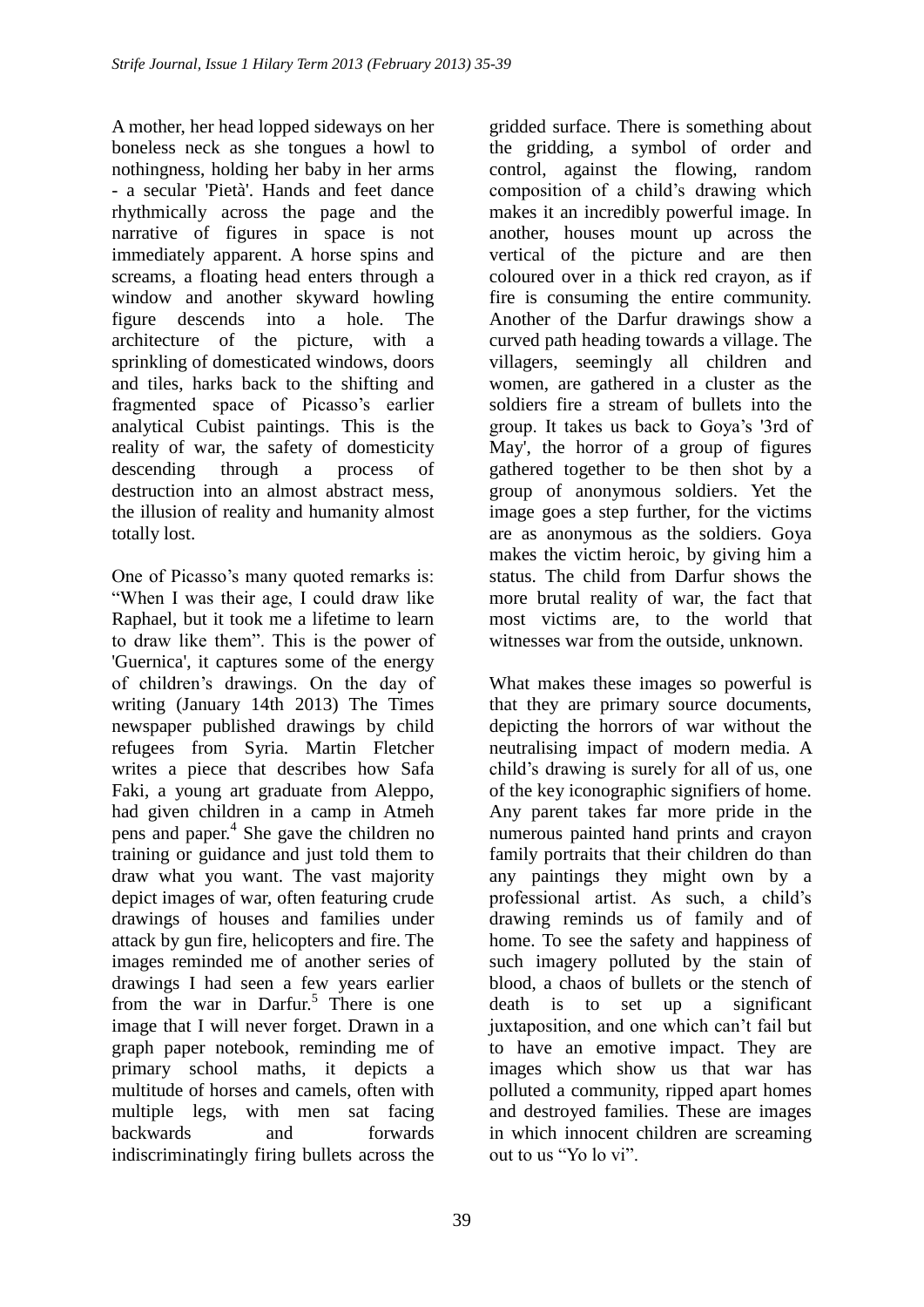A mother, her head lopped sideways on her boneless neck as she tongues a howl to nothingness, holding her baby in her arms - a secular 'Pietà'. Hands and feet dance rhythmically across the page and the narrative of figures in space is not immediately apparent. A horse spins and screams, a floating head enters through a window and another skyward howling figure descends into a hole. The architecture of the picture, with a sprinkling of domesticated windows, doors and tiles, harks back to the shifting and fragmented space of Picasso's earlier analytical Cubist paintings. This is the reality of war, the safety of domesticity descending through a process of destruction into an almost abstract mess, the illusion of reality and humanity almost totally lost.

One of Picasso's many quoted remarks is: "When I was their age, I could draw like Raphael, but it took me a lifetime to learn to draw like them". This is the power of 'Guernica', it captures some of the energy of children"s drawings. On the day of writing (January 14th 2013) The Times newspaper published drawings by child refugees from Syria. Martin Fletcher writes a piece that describes how Safa Faki, a young art graduate from Aleppo, had given children in a camp in Atmeh pens and paper.<sup>4</sup> She gave the children no training or guidance and just told them to draw what you want. The vast majority depict images of war, often featuring crude drawings of houses and families under attack by gun fire, helicopters and fire. The images reminded me of another series of drawings I had seen a few years earlier from the war in Darfur.<sup>5</sup> There is one image that I will never forget. Drawn in a graph paper notebook, reminding me of primary school maths, it depicts a multitude of horses and camels, often with multiple legs, with men sat facing backwards and forwards indiscriminatingly firing bullets across the

gridded surface. There is something about the gridding, a symbol of order and control, against the flowing, random composition of a child"s drawing which makes it an incredibly powerful image. In another, houses mount up across the vertical of the picture and are then coloured over in a thick red crayon, as if fire is consuming the entire community. Another of the Darfur drawings show a curved path heading towards a village. The villagers, seemingly all children and women, are gathered in a cluster as the soldiers fire a stream of bullets into the group. It takes us back to Goya"s '3rd of May', the horror of a group of figures gathered together to be then shot by a group of anonymous soldiers. Yet the image goes a step further, for the victims are as anonymous as the soldiers. Goya makes the victim heroic, by giving him a status. The child from Darfur shows the more brutal reality of war, the fact that most victims are, to the world that witnesses war from the outside, unknown.

What makes these images so powerful is that they are primary source documents, depicting the horrors of war without the neutralising impact of modern media. A child"s drawing is surely for all of us, one of the key iconographic signifiers of home. Any parent takes far more pride in the numerous painted hand prints and crayon family portraits that their children do than any paintings they might own by a professional artist. As such, a child"s drawing reminds us of family and of home. To see the safety and happiness of such imagery polluted by the stain of blood, a chaos of bullets or the stench of death is to set up a significant juxtaposition, and one which can"t fail but to have an emotive impact. They are images which show us that war has polluted a community, ripped apart homes and destroyed families. These are images in which innocent children are screaming out to us "Yo lo vi".